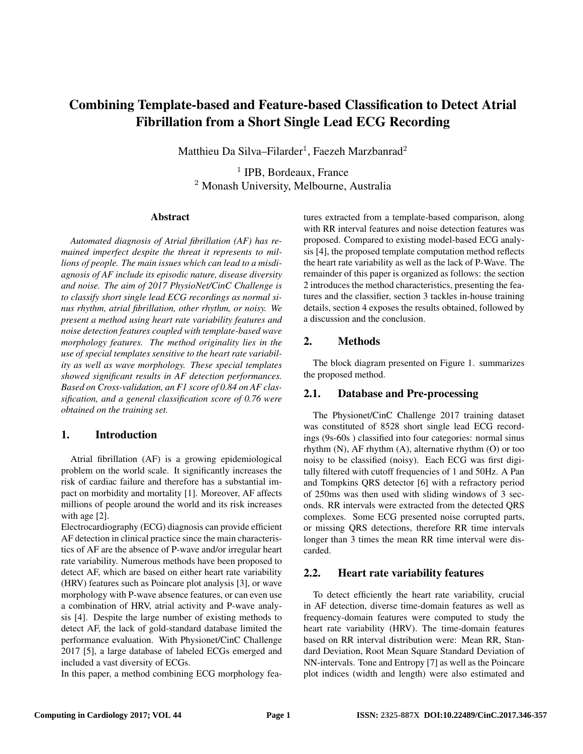# Combining Template-based and Feature-based Classification to Detect Atrial Fibrillation from a Short Single Lead ECG Recording

Matthieu Da Silva–Filarder<sup>1</sup>, Faezeh Marzbanrad<sup>2</sup>

<sup>1</sup> IPB, Bordeaux, France <sup>2</sup> Monash University, Melbourne, Australia

#### Abstract

*Automated diagnosis of Atrial fibrillation (AF) has remained imperfect despite the threat it represents to millions of people. The main issues which can lead to a misdiagnosis of AF include its episodic nature, disease diversity and noise. The aim of 2017 PhysioNet/CinC Challenge is to classify short single lead ECG recordings as normal sinus rhythm, atrial fibrillation, other rhythm, or noisy. We present a method using heart rate variability features and noise detection features coupled with template-based wave morphology features. The method originality lies in the use of special templates sensitive to the heart rate variability as well as wave morphology. These special templates showed significant results in AF detection performances. Based on Cross-validation, an F1 score of 0.84 on AF classification, and a general classification score of 0.76 were obtained on the training set.*

## 1. Introduction

Atrial fibrillation (AF) is a growing epidemiological problem on the world scale. It significantly increases the risk of cardiac failure and therefore has a substantial impact on morbidity and mortality [1]. Moreover, AF affects millions of people around the world and its risk increases with age [2].

Electrocardiography (ECG) diagnosis can provide efficient AF detection in clinical practice since the main characteristics of AF are the absence of P-wave and/or irregular heart rate variability. Numerous methods have been proposed to detect AF, which are based on either heart rate variability (HRV) features such as Poincare plot analysis [3], or wave morphology with P-wave absence features, or can even use a combination of HRV, atrial activity and P-wave analysis [4]. Despite the large number of existing methods to detect AF, the lack of gold-standard database limited the performance evaluation. With Physionet/CinC Challenge 2017 [5], a large database of labeled ECGs emerged and included a vast diversity of ECGs.

In this paper, a method combining ECG morphology fea-

tures extracted from a template-based comparison, along with RR interval features and noise detection features was proposed. Compared to existing model-based ECG analysis [4], the proposed template computation method reflects the heart rate variability as well as the lack of P-Wave. The remainder of this paper is organized as follows: the section 2 introduces the method characteristics, presenting the features and the classifier, section 3 tackles in-house training details, section 4 exposes the results obtained, followed by a discussion and the conclusion.

## 2. Methods

The block diagram presented on Figure 1. summarizes the proposed method.

## 2.1. Database and Pre-processing

The Physionet/CinC Challenge 2017 training dataset was constituted of 8528 short single lead ECG recordings (9s-60s ) classified into four categories: normal sinus rhythm (N), AF rhythm (A), alternative rhythm (O) or too noisy to be classified (noisy). Each ECG was first digitally filtered with cutoff frequencies of 1 and 50Hz. A Pan and Tompkins QRS detector [6] with a refractory period of 250ms was then used with sliding windows of 3 seconds. RR intervals were extracted from the detected QRS complexes. Some ECG presented noise corrupted parts, or missing QRS detections, therefore RR time intervals longer than 3 times the mean RR time interval were discarded.

# 2.2. Heart rate variability features

To detect efficiently the heart rate variability, crucial in AF detection, diverse time-domain features as well as frequency-domain features were computed to study the heart rate variability (HRV). The time-domain features based on RR interval distribution were: Mean RR, Standard Deviation, Root Mean Square Standard Deviation of NN-intervals. Tone and Entropy [7] as well as the Poincare plot indices (width and length) were also estimated and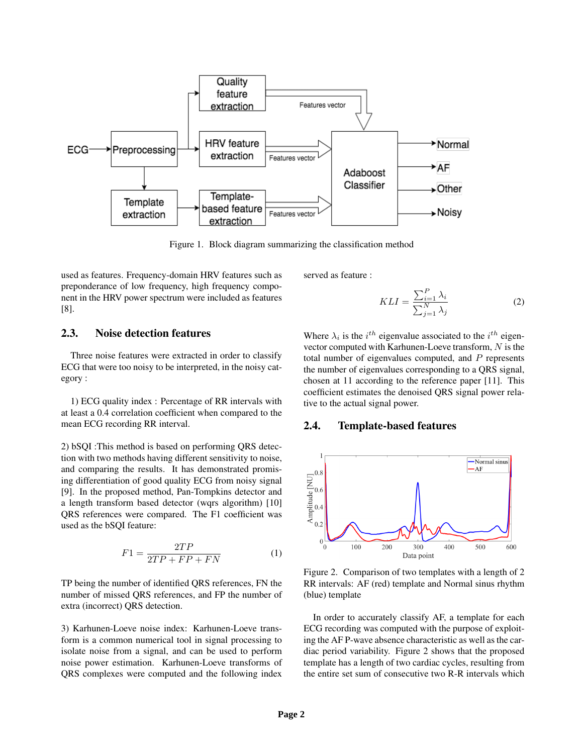

Figure 1. Block diagram summarizing the classification method

used as features. Frequency-domain HRV features such as preponderance of low frequency, high frequency component in the HRV power spectrum were included as features [8].

2.3. Noise detection features

Three noise features were extracted in order to classify ECG that were too noisy to be interpreted, in the noisy category :

1) ECG quality index : Percentage of RR intervals with at least a 0.4 correlation coefficient when compared to the mean ECG recording RR interval.

2) bSQI :This method is based on performing QRS detection with two methods having different sensitivity to noise, and comparing the results. It has demonstrated promising differentiation of good quality ECG from noisy signal [9]. In the proposed method, Pan-Tompkins detector and a length transform based detector (wqrs algorithm) [10] QRS references were compared. The F1 coefficient was used as the bSQI feature:

$$
F1 = \frac{2TP}{2TP + FP + FN} \tag{1}
$$

TP being the number of identified QRS references, FN the number of missed QRS references, and FP the number of extra (incorrect) QRS detection.

3) Karhunen-Loeve noise index: Karhunen-Loeve transform is a common numerical tool in signal processing to isolate noise from a signal, and can be used to perform noise power estimation. Karhunen-Loeve transforms of QRS complexes were computed and the following index served as feature :

$$
KLI = \frac{\sum_{i=1}^{P} \lambda_i}{\sum_{j=1}^{N} \lambda_j}
$$
 (2)

Where  $\lambda_i$  is the  $i^{th}$  eigenvalue associated to the  $i^{th}$  eigenvector computed with Karhunen-Loeve transform, N is the total number of eigenvalues computed, and  $P$  represents the number of eigenvalues corresponding to a QRS signal, chosen at 11 according to the reference paper [11]. This coefficient estimates the denoised QRS signal power relative to the actual signal power.

#### 2.4. Template-based features



Figure 2. Comparison of two templates with a length of 2 RR intervals: AF (red) template and Normal sinus rhythm (blue) template

In order to accurately classify AF, a template for each ECG recording was computed with the purpose of exploiting the AF P-wave absence characteristic as well as the cardiac period variability. Figure 2 shows that the proposed template has a length of two cardiac cycles, resulting from the entire set sum of consecutive two R-R intervals which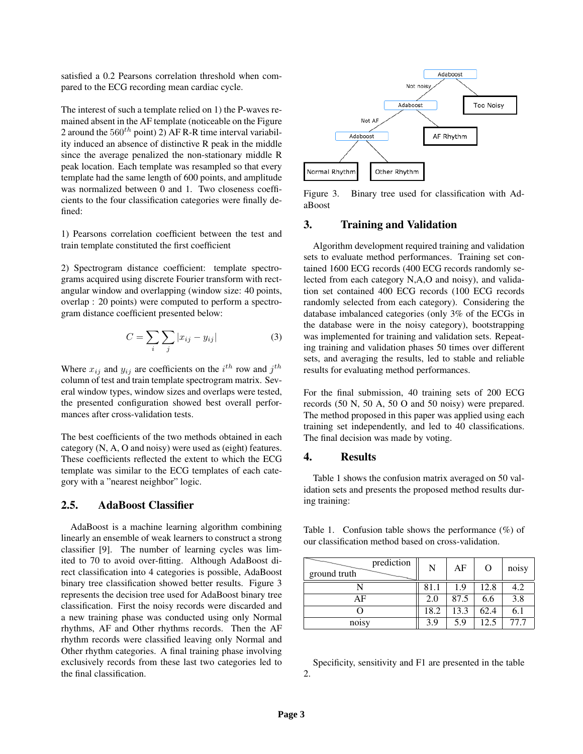satisfied a 0.2 Pearsons correlation threshold when compared to the ECG recording mean cardiac cycle.

The interest of such a template relied on 1) the P-waves remained absent in the AF template (noticeable on the Figure 2 around the  $560^{th}$  point) 2) AF R-R time interval variability induced an absence of distinctive R peak in the middle since the average penalized the non-stationary middle R peak location. Each template was resampled so that every template had the same length of 600 points, and amplitude was normalized between 0 and 1. Two closeness coefficients to the four classification categories were finally defined:

1) Pearsons correlation coefficient between the test and train template constituted the first coefficient

2) Spectrogram distance coefficient: template spectrograms acquired using discrete Fourier transform with rectangular window and overlapping (window size: 40 points, overlap : 20 points) were computed to perform a spectrogram distance coefficient presented below:

$$
C = \sum_{i} \sum_{j} |x_{ij} - y_{ij}| \tag{3}
$$

Where  $x_{ij}$  and  $y_{ij}$  are coefficients on the  $i^{th}$  row and  $j^{th}$ column of test and train template spectrogram matrix. Several window types, window sizes and overlaps were tested, the presented configuration showed best overall performances after cross-validation tests.

The best coefficients of the two methods obtained in each category (N, A, O and noisy) were used as (eight) features. These coefficients reflected the extent to which the ECG template was similar to the ECG templates of each category with a "nearest neighbor" logic.

### 2.5. AdaBoost Classifier

AdaBoost is a machine learning algorithm combining linearly an ensemble of weak learners to construct a strong classifier [9]. The number of learning cycles was limited to 70 to avoid over-fitting. Although AdaBoost direct classification into 4 categories is possible, AdaBoost binary tree classification showed better results. Figure 3 represents the decision tree used for AdaBoost binary tree classification. First the noisy records were discarded and a new training phase was conducted using only Normal rhythms, AF and Other rhythms records. Then the AF rhythm records were classified leaving only Normal and Other rhythm categories. A final training phase involving exclusively records from these last two categories led to the final classification.



Figure 3. Binary tree used for classification with AdaBoost

## 3. Training and Validation

Algorithm development required training and validation sets to evaluate method performances. Training set contained 1600 ECG records (400 ECG records randomly selected from each category N,A,O and noisy), and validation set contained 400 ECG records (100 ECG records randomly selected from each category). Considering the database imbalanced categories (only 3% of the ECGs in the database were in the noisy category), bootstrapping was implemented for training and validation sets. Repeating training and validation phases 50 times over different sets, and averaging the results, led to stable and reliable results for evaluating method performances.

For the final submission, 40 training sets of 200 ECG records (50 N, 50 A, 50 O and 50 noisy) were prepared. The method proposed in this paper was applied using each training set independently, and led to 40 classifications. The final decision was made by voting.

#### 4. Results

Table 1 shows the confusion matrix averaged on 50 validation sets and presents the proposed method results during training:

Table 1. Confusion table shows the performance  $(\%)$  of our classification method based on cross-validation.

| prediction<br>ground truth | N    | AF   | O    | noisy |
|----------------------------|------|------|------|-------|
|                            | 81.1 | 1.9  | 12.8 | 4.2   |
| AF                         | 2.0  | 87.5 | 6.6  | 3.8   |
|                            | 18.2 | 13.3 | 62.4 | 6.1   |
| noisy                      | 3.9  | 5.9  | 12.5 | 77.7  |

Specificity, sensitivity and F1 are presented in the table 2.